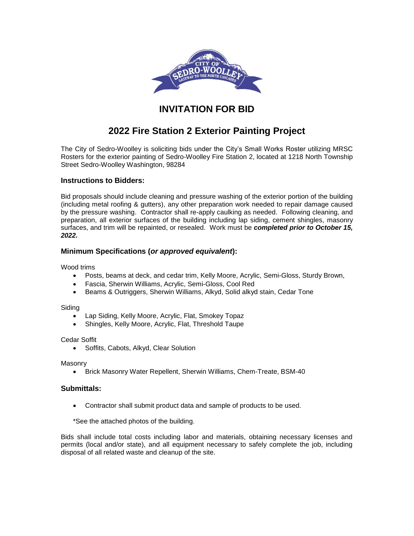

## **INVITATION FOR BID**

# **2022 Fire Station 2 Exterior Painting Project**

The City of Sedro-Woolley is soliciting bids under the City's Small Works Roster utilizing MRSC Rosters for the exterior painting of Sedro-Woolley Fire Station 2, located at 1218 North Township Street Sedro-Woolley Washington, 98284

### **Instructions to Bidders:**

Bid proposals should include cleaning and pressure washing of the exterior portion of the building (including metal roofing & gutters), any other preparation work needed to repair damage caused by the pressure washing. Contractor shall re-apply caulking as needed. Following cleaning, and preparation, all exterior surfaces of the building including lap siding, cement shingles, masonry surfaces, and trim will be repainted, or resealed. Work must be *completed prior to October 15, 2022.*

### **Minimum Specifications (***or approved equivalent***):**

Wood trims

- Posts, beams at deck, and cedar trim, Kelly Moore, Acrylic, Semi-Gloss, Sturdy Brown,
- Fascia, Sherwin Williams, Acrylic, Semi-Gloss, Cool Red
- Beams & Outriggers, Sherwin Williams, Alkyd, Solid alkyd stain, Cedar Tone

**Siding** 

- Lap Siding, Kelly Moore, Acrylic, Flat, Smokey Topaz
- Shingles, Kelly Moore, Acrylic, Flat, Threshold Taupe

Cedar Soffit

• Soffits, Cabots, Alkyd, Clear Solution

Masonry

Brick Masonry Water Repellent, Sherwin Williams, Chem-Treate, BSM-40

#### **Submittals:**

Contractor shall submit product data and sample of products to be used.

\*See the attached photos of the building.

Bids shall include total costs including labor and materials, obtaining necessary licenses and permits (local and/or state), and all equipment necessary to safely complete the job, including disposal of all related waste and cleanup of the site.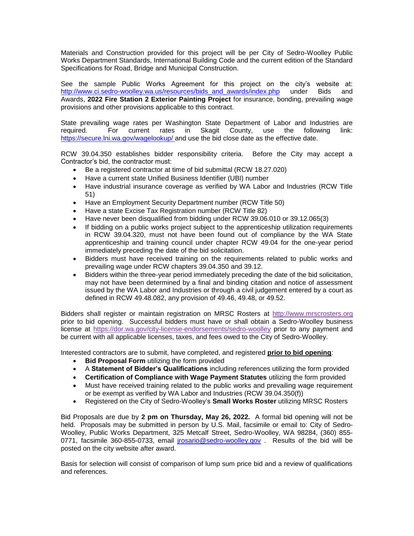Materials and Construction provided for this project will be per City of Sedro-Woolley Public Works Department Standards, International Building Code and the current edition of the Standard Specifications for Road, Bridge and Municipal Construction.

See the sample Public Works Agreement for this project on the city's website at: [http://www.ci.sedro-woolley.wa.us/resources/bids\\_and\\_awards/index.php](http://www.ci.sedro-woolley.wa.us/resources/bids_and_awards/index.php) under Bids and Awards, **2022 Fire Station 2 Exterior Painting Project** for insurance, bonding, prevailing wage provisions and other provisions applicable to this contract.

State prevailing wage rates per Washington State Department of Labor and Industries are required. For current rates in Skagit County, use the following link: <https://secure.lni.wa.gov/wagelookup/> and use the bid close date as the effective date.

RCW 39.04.350 establishes bidder responsibility criteria. Before the City may accept a Contractor's bid, the contractor must:

- Be a registered contractor at time of bid submittal (RCW 18.27.020)
- Have a current state Unified Business Identifier (UBI) number
- Have industrial insurance coverage as verified by WA Labor and Industries (RCW Title 51)
- Have an Employment Security Department number (RCW Title 50)
- Have a state Excise Tax Registration number (RCW Title 82)
- Have never been disqualified from bidding under RCW 39.06.010 or 39.12.065(3)
- If bidding on a public works project subject to the apprenticeship utilization requirements in RCW 39.04.320, must not have been found out of compliance by the WA State apprenticeship and training council under chapter RCW 49.04 for the one-year period immediately preceding the date of the bid solicitation.
- Bidders must have received training on the requirements related to public works and prevailing wage under RCW chapters 39.04.350 and 39.12.
- Bidders within the three-year period immediately preceding the date of the bid solicitation, may not have been determined by a final and binding citation and notice of assessment issued by the WA Labor and Industries or through a civil judgement entered by a court as defined in RCW 49.48.082, any provision of 49.46, 49.48, or 49.52.

Bidders shall register or maintain registration on MRSC Rosters at [http://www.mrscrosters.org](http://www.mrscrosters.org/) prior to bid opening. Successful bidders must have or shall obtain a Sedro-Woolley business license at<https://dor.wa.gov/city-license-endorsements/sedro-woolley> prior to any payment and be current with all applicable licenses, taxes, and fees owed to the City of Sedro-Woolley.

Interested contractors are to submit, have completed, and registered **prior to bid opening**:

- **Bid Proposal Form** utilizing the form provided
- A **Statement of Bidder's Qualifications** including references utilizing the form provided
- **Certification of Compliance with Wage Payment Statutes** utilizing the form provided
- Must have received training related to the public works and prevailing wage requirement or be exempt as verified by WA Labor and Industries (RCW 39.04.350(f))
- Registered on the City of Sedro-Woolley's **Small Works Roster** utilizing MRSC Rosters

Bid Proposals are due by **2 pm on Thursday, May 26, 2022.** A formal bid opening will not be held. Proposals may be submitted in person by U.S. Mail, facsimile or email to: City of Sedro-Woolley, Public Works Department, 325 Metcalf Street, Sedro-Woolley, WA 98284, (360) 855- 0771, facsimile 360-855-0733, email *jrosario@sedro-woolley.gov* . Results of the bid will be posted on the city website after award.

Basis for selection will consist of comparison of lump sum price bid and a review of qualifications and references.